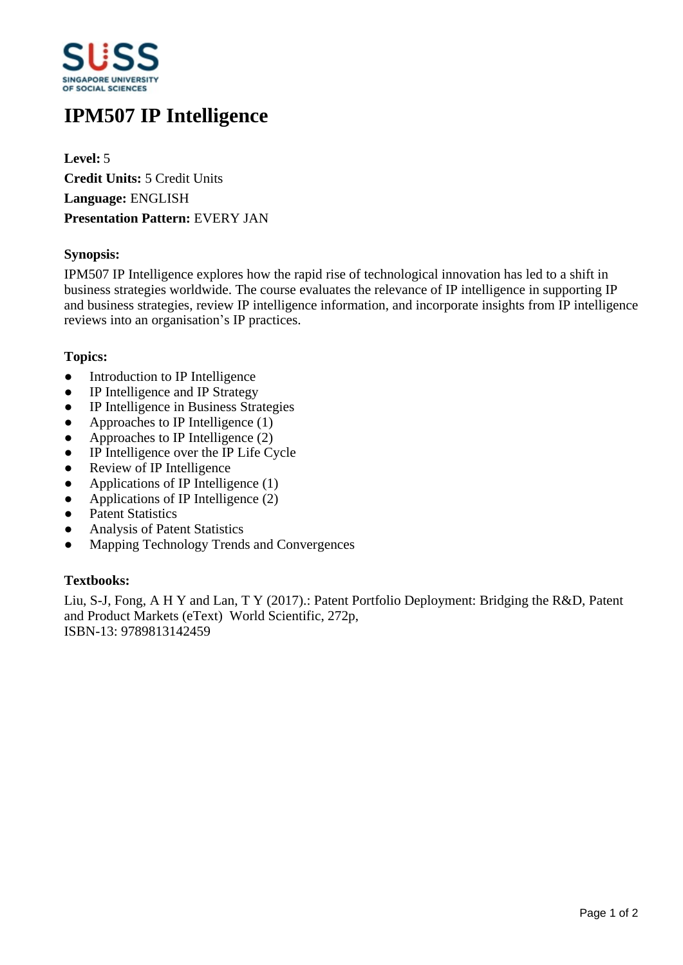

# **IPM507 IP Intelligence**

**Level:** 5 **Credit Units:** 5 Credit Units **Language:** ENGLISH **Presentation Pattern:** EVERY JAN

## **Synopsis:**

IPM507 IP Intelligence explores how the rapid rise of technological innovation has led to a shift in business strategies worldwide. The course evaluates the relevance of IP intelligence in supporting IP and business strategies, review IP intelligence information, and incorporate insights from IP intelligence reviews into an organisation's IP practices.

#### **Topics:**

- Introduction to IP Intelligence
- IP Intelligence and IP Strategy
- IP Intelligence in Business Strategies
- $\bullet$  Approaches to IP Intelligence (1)
- $\bullet$  Approaches to IP Intelligence (2)
- IP Intelligence over the IP Life Cycle
- Review of IP Intelligence
- $\bullet$  Applications of IP Intelligence (1)
- Applications of IP Intelligence  $(2)$
- Patent Statistics
- ƔAnalysis of Patent Statistics
- Mapping Technology Trends and Convergences

## **Textbooks:**

Liu, S-J, Fong, A H Y and Lan, T Y (2017).: Patent Portfolio Deployment: Bridging the R&D, Patent and Product Markets (eText) World Scientific, 272p, ISBN-13: 9789813142459